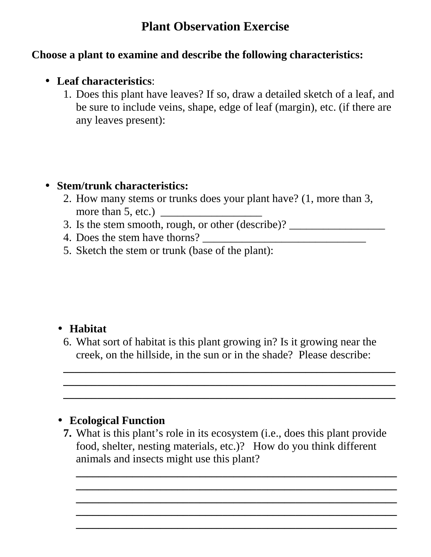# **Plant Observation Exercise**

### **Choose a plant to examine and describe the following characteristics:**

### • **Leaf characteristics**:

1. Does this plant have leaves? If so, draw a detailed sketch of a leaf, and be sure to include veins, shape, edge of leaf (margin), etc. (if there are any leaves present):

#### • **Stem/trunk characteristics:**

- 2. How many stems or trunks does your plant have? (1, more than 3, more than  $5,$  etc.)  $\qquad \qquad$
- 3. Is the stem smooth, rough, or other  $(describe)?$
- 4. Does the stem have thorns? \_\_\_\_\_\_\_\_\_\_\_\_\_\_\_\_\_\_\_\_\_\_\_\_\_\_\_\_\_
- 5. Sketch the stem or trunk (base of the plant):

# • **Habitat**

6. What sort of habitat is this plant growing in? Is it growing near the creek, on the hillside, in the sun or in the shade? Please describe:

**\_\_\_\_\_\_\_\_\_\_\_\_\_\_\_\_\_\_\_\_\_\_\_\_\_\_\_\_\_\_\_\_\_\_\_\_\_\_\_\_\_\_\_\_\_\_\_\_\_\_\_\_\_\_\_\_\_\_\_ \_\_\_\_\_\_\_\_\_\_\_\_\_\_\_\_\_\_\_\_\_\_\_\_\_\_\_\_\_\_\_\_\_\_\_\_\_\_\_\_\_\_\_\_\_\_\_\_\_\_\_\_\_\_\_\_\_\_\_ \_\_\_\_\_\_\_\_\_\_\_\_\_\_\_\_\_\_\_\_\_\_\_\_\_\_\_\_\_\_\_\_\_\_\_\_\_\_\_\_\_\_\_\_\_\_\_\_\_\_\_\_\_\_\_\_\_\_\_** 

# • **Ecological Function**

**7.** What is this plant's role in its ecosystem (i.e., does this plant provide food, shelter, nesting materials, etc.)? How do you think different animals and insects might use this plant?

**\_\_\_\_\_\_\_\_\_\_\_\_\_\_\_\_\_\_\_\_\_\_\_\_\_\_\_\_\_\_\_\_\_\_\_\_\_\_\_\_\_\_\_\_\_\_\_\_\_\_\_\_\_\_\_\_\_ \_\_\_\_\_\_\_\_\_\_\_\_\_\_\_\_\_\_\_\_\_\_\_\_\_\_\_\_\_\_\_\_\_\_\_\_\_\_\_\_\_\_\_\_\_\_\_\_\_\_\_\_\_\_\_\_\_ \_\_\_\_\_\_\_\_\_\_\_\_\_\_\_\_\_\_\_\_\_\_\_\_\_\_\_\_\_\_\_\_\_\_\_\_\_\_\_\_\_\_\_\_\_\_\_\_\_\_\_\_\_\_\_\_\_ \_\_\_\_\_\_\_\_\_\_\_\_\_\_\_\_\_\_\_\_\_\_\_\_\_\_\_\_\_\_\_\_\_\_\_\_\_\_\_\_\_\_\_\_\_\_\_\_\_\_\_\_\_\_\_\_\_ \_\_\_\_\_\_\_\_\_\_\_\_\_\_\_\_\_\_\_\_\_\_\_\_\_\_\_\_\_\_\_\_\_\_\_\_\_\_\_\_\_\_\_\_\_\_\_\_\_\_\_\_\_\_\_\_\_**